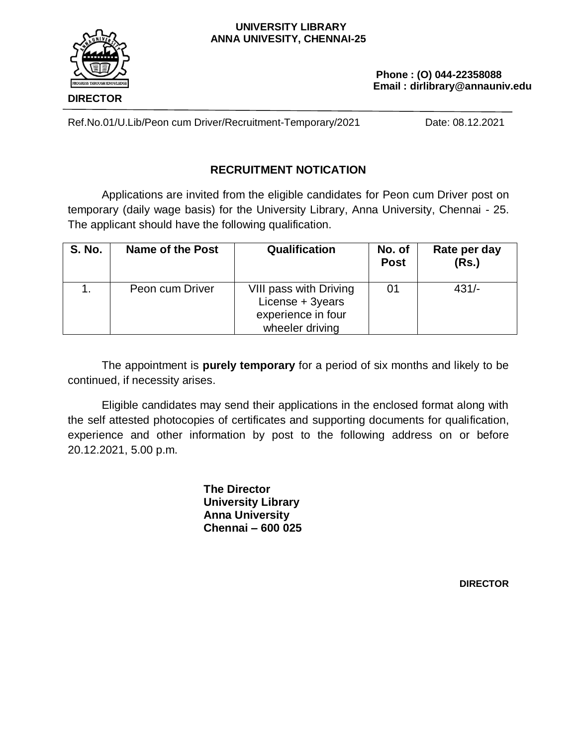#### **UNIVERSITY LIBRARY ANNA UNIVESITY, CHENNAI-25**



 **Phone : (O) 044-22358088 Email : dirlibrary@annauniv.edu**

 Ref.No.01/U.Lib/Peon cum Driver/Recruitment-Temporary/2021 Date: 08.12.2021

# **RECRUITMENT NOTICATION**

Applications are invited from the eligible candidates for Peon cum Driver post on temporary (daily wage basis) for the University Library, Anna University, Chennai - 25. The applicant should have the following qualification.

| <b>S. No.</b> | Name of the Post | Qualification                                                                       | No. of<br><b>Post</b> | Rate per day<br>(Rs.) |
|---------------|------------------|-------------------------------------------------------------------------------------|-----------------------|-----------------------|
|               | Peon cum Driver  | VIII pass with Driving<br>License + 3years<br>experience in four<br>wheeler driving | 01                    | $431/-$               |

The appointment is **purely temporary** for a period of six months and likely to be continued, if necessity arises.

Eligible candidates may send their applications in the enclosed format along with the self attested photocopies of certificates and supporting documents for qualification, experience and other information by post to the following address on or before 20.12.2021, 5.00 p.m.

> **The Director University Library Anna University Chennai – 600 025**

> > **DIRECTOR**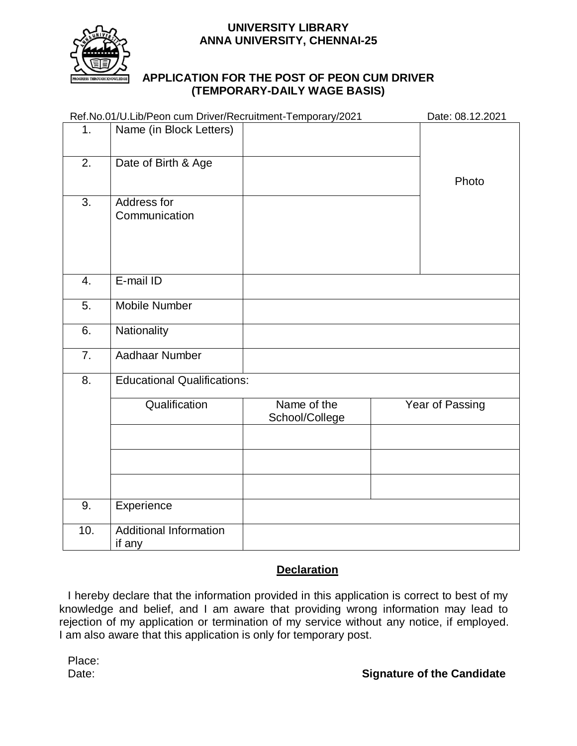### **UNIVERSITY LIBRARY ANNA UNIVERSITY, CHENNAI-25**



### **APPLICATION FOR THE POST OF PEON CUM DRIVER (TEMPORARY-DAILY WAGE BASIS)**

|                | Ref.No.01/U.Lib/Peon cum Driver/Recruitment-Temporary/2021 | Date: 08.12.2021              |                 |  |  |
|----------------|------------------------------------------------------------|-------------------------------|-----------------|--|--|
| 1 <sub>1</sub> | Name (in Block Letters)                                    |                               |                 |  |  |
| 2.             | Date of Birth & Age                                        |                               | Photo           |  |  |
| 3.             | Address for<br>Communication                               |                               |                 |  |  |
| 4.             | E-mail ID                                                  |                               |                 |  |  |
| 5.             | <b>Mobile Number</b>                                       |                               |                 |  |  |
| 6.             | Nationality                                                |                               |                 |  |  |
| 7.             | Aadhaar Number                                             |                               |                 |  |  |
| 8.             | <b>Educational Qualifications:</b>                         |                               |                 |  |  |
|                | Qualification                                              | Name of the<br>School/College | Year of Passing |  |  |
|                |                                                            |                               |                 |  |  |
|                |                                                            |                               |                 |  |  |
| 9.             | Experience                                                 |                               |                 |  |  |
| 10.            | <b>Additional Information</b><br>if any                    |                               |                 |  |  |

## **Declaration**

I hereby declare that the information provided in this application is correct to best of my knowledge and belief, and I am aware that providing wrong information may lead to rejection of my application or termination of my service without any notice, if employed. I am also aware that this application is only for temporary post.

Place:<br>Date: